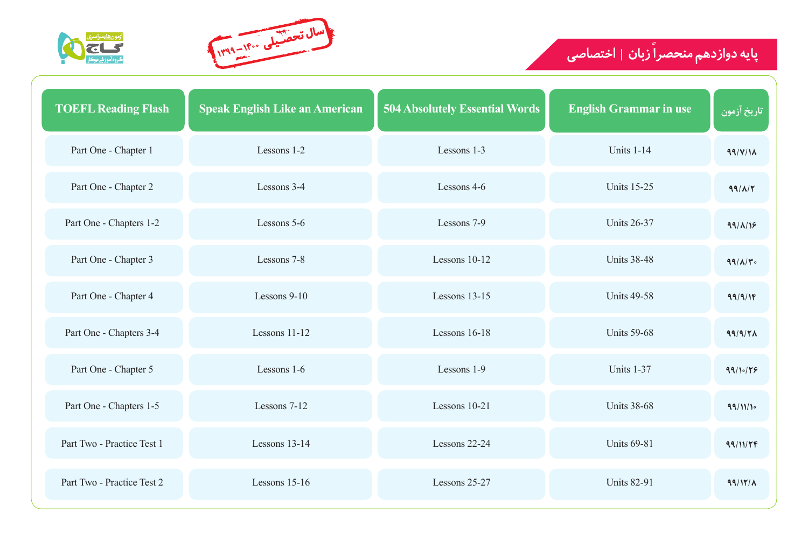## **زبان** | اختصاصی **پایه دوازدهم منحصرا**







| <b>TOEFL Reading Flash</b> | <b>Speak English Like an American</b> | <b>504 Absolutely Essential Words</b> | <b>English Grammar in use</b> | ُ تاريخ آزمون   |
|----------------------------|---------------------------------------|---------------------------------------|-------------------------------|-----------------|
| Part One - Chapter 1       | Lessons 1-2                           | Lessons 1-3                           | Units 1-14                    | 99/V/M          |
| Part One - Chapter 2       | Lessons 3-4                           | Lessons 4-6                           | <b>Units 15-25</b>            | $99/\lambda$    |
| Part One - Chapters 1-2    | Lessons 5-6                           | Lessons 7-9                           | <b>Units 26-37</b>            | $99/\lambda/19$ |
| Part One - Chapter 3       | Lessons 7-8                           | Lessons 10-12                         | <b>Units 38-48</b>            | $99/\lambda$    |
| Part One - Chapter 4       | Lessons 9-10                          | Lessons 13-15                         | <b>Units 49-58</b>            | 99/9/18         |
| Part One - Chapters 3-4    | Lessons 11-12                         | Lessons 16-18                         | <b>Units 59-68</b>            | 99/9/7          |
| Part One - Chapter 5       | Lessons 1-6                           | Lessons 1-9                           | Units 1-37                    | 99/10/19        |
| Part One - Chapters 1-5    | Lessons 7-12                          | Lessons 10-21                         | <b>Units 38-68</b>            | 99/11/10        |
| Part Two - Practice Test 1 | Lessons 13-14                         | Lessons 22-24                         | <b>Units 69-81</b>            | 99/11/76        |
| Part Two - Practice Test 2 | Lessons $15-16$                       | Lessons 25-27                         | <b>Units 82-91</b>            | $99/11/\lambda$ |